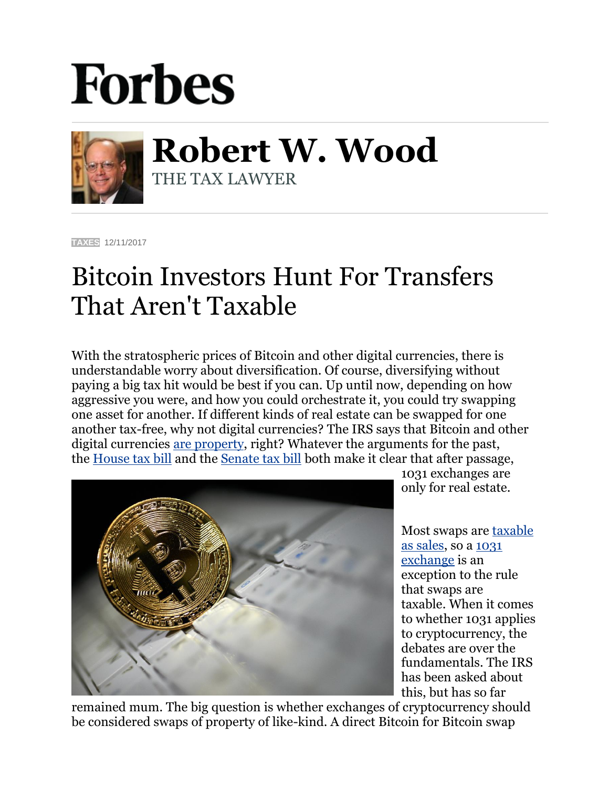## **Forbes**



**Robert W. Wood** THE TAX LAWYER

**[TAXES](https://www.forbes.com/taxes)** 12/11/2017

## Bitcoin Investors Hunt For Transfers That Aren't Taxable

With the stratospheric prices of Bitcoin and other digital currencies, there is understandable worry about diversification. Of course, diversifying without paying a big tax hit would be best if you can. Up until now, depending on how aggressive you were, and how you could orchestrate it, you could try swapping one asset for another. If different kinds of real estate can be swapped for one another tax-free, why not digital currencies? The IRS says that Bitcoin and other digital currencies [are property,](https://www.irs.gov/newsroom/irs-virtual-currency-guidance) right? Whatever the arguments for the past, the [House tax bill](https://www.congress.gov/bill/115th-congress/house-bill/1/text) and the [Senate tax bill](https://www.scribd.com/document/366081794/Senate-GOP-tax-bill#from_embed) both make it clear that after passage,



1031 exchanges are only for real estate.

Most swaps are [taxable](http://www.forbes.com/2009/11/11/irs-tax-barter-exchange-income-personal-finance-wood.html)  [as sales,](http://www.forbes.com/2009/11/11/irs-tax-barter-exchange-income-personal-finance-wood.html) so a [1031](https://www.irs.gov/newsroom/like-kind-exchanges-under-irc-code-section-1031)  [exchange](https://www.irs.gov/newsroom/like-kind-exchanges-under-irc-code-section-1031) is an exception to the rule that swaps are taxable. When it comes to whether 1031 applies to cryptocurrency, the debates are over the fundamentals. The IRS has been asked about this, but has so far

remained mum. The big question is whether exchanges of cryptocurrency should be considered swaps of property of like-kind. A direct Bitcoin for Bitcoin swap